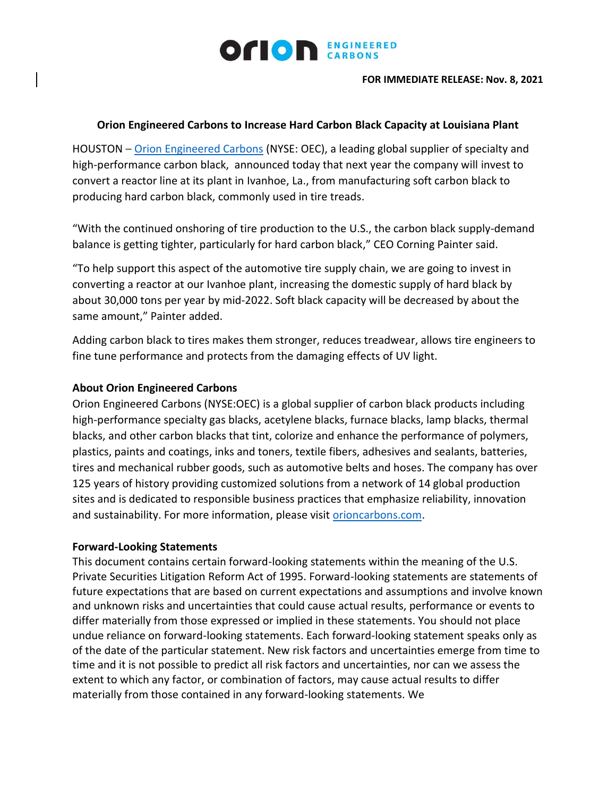

**FOR IMMEDIATE RELEASE: Nov. 8, 2021**

## **Orion Engineered Carbons to Increase Hard Carbon Black Capacity at Louisiana Plant**

HOUSTON – [Orion Engineered Carbons](https://www.orioncarbons.com/index_en.php) (NYSE: OEC), a leading global supplier of specialty and high-performance carbon black, announced today that next year the company will invest to convert a reactor line at its plant in Ivanhoe, La., from manufacturing soft carbon black to producing hard carbon black, commonly used in tire treads.

"With the continued onshoring of tire production to the U.S., the carbon black supply-demand balance is getting tighter, particularly for hard carbon black," CEO Corning Painter said.

"To help support this aspect of the automotive tire supply chain, we are going to invest in converting a reactor at our Ivanhoe plant, increasing the domestic supply of hard black by about 30,000 tons per year by mid-2022. Soft black capacity will be decreased by about the same amount," Painter added.

Adding carbon black to tires makes them stronger, reduces treadwear, allows tire engineers to fine tune performance and protects from the damaging effects of UV light.

## **About Orion Engineered Carbons**

Orion Engineered Carbons (NYSE:OEC) is a global supplier of carbon black products including high-performance specialty gas blacks, acetylene blacks, furnace blacks, lamp blacks, thermal blacks, and other carbon blacks that tint, colorize and enhance the performance of polymers, plastics, paints and coatings, inks and toners, textile fibers, adhesives and sealants, batteries, tires and mechanical rubber goods, such as automotive belts and hoses. The company has over 125 years of history providing customized solutions from a network of 14 global production sites and is dedicated to responsible business practices that emphasize reliability, innovation and sustainability. For more information, please visit [orioncarbons.com.](https://www.orioncarbons.com/index_en.php)

## **Forward-Looking Statements**

This document contains certain forward-looking statements within the meaning of the U.S. Private Securities Litigation Reform Act of 1995. Forward-looking statements are statements of future expectations that are based on current expectations and assumptions and involve known and unknown risks and uncertainties that could cause actual results, performance or events to differ materially from those expressed or implied in these statements. You should not place undue reliance on forward-looking statements. Each forward-looking statement speaks only as of the date of the particular statement. New risk factors and uncertainties emerge from time to time and it is not possible to predict all risk factors and uncertainties, nor can we assess the extent to which any factor, or combination of factors, may cause actual results to differ materially from those contained in any forward-looking statements. We